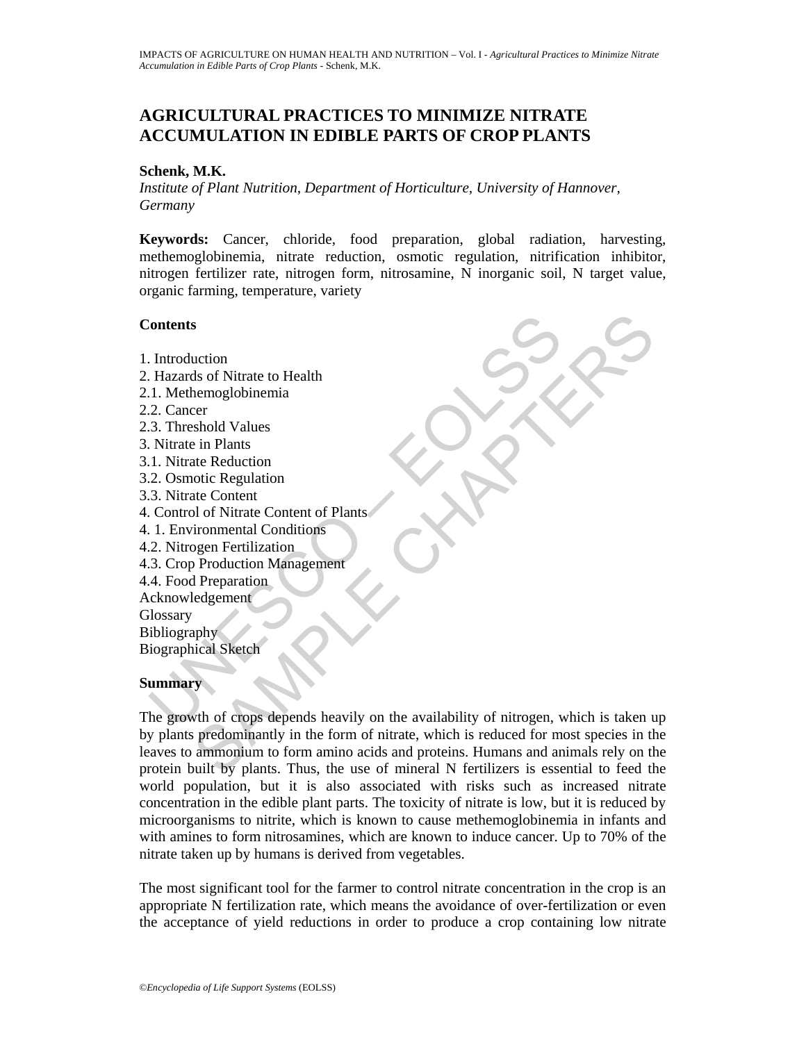# **AGRICULTURAL PRACTICES TO MINIMIZE NITRATE ACCUMULATION IN EDIBLE PARTS OF CROP PLANTS**

### **Schenk, M.K.**

*Institute of Plant Nutrition, Department of Horticulture, University of Hannover, Germany* 

**Keywords:** Cancer, chloride, food preparation, global radiation, harvesting, methemoglobinemia, nitrate reduction, osmotic regulation, nitrification inhibitor, nitrogen fertilizer rate, nitrogen form, nitrosamine, N inorganic soil, N target value, organic farming, temperature, variety

### **Contents**

1. Introduction

- 2. Hazards of Nitrate to Health
- 2.1. Methemoglobinemia
- 2.2. Cancer
- 2.3. Threshold Values
- 3. Nitrate in Plants
- 3.1. Nitrate Reduction
- 3.2. Osmotic Regulation
- 3.3. Nitrate Content
- 4. Control of Nitrate Content of Plants
- 4. 1. Environmental Conditions
- 4.2. Nitrogen Fertilization
- 4.3. Crop Production Management
- 4.4. Food Preparation
- Acknowledgement
- **Glossary**

Bibliography Biographical Sketch

### **Summary**

Contents<br>
Contents<br>
Introduction<br>
I. Methemoglobinemia<br>
2. Cancer<br>
3. Threshold Values<br>
Nitrate in Plants<br>
N. Nitrate Reduction<br>
2. Osmotic Regulation<br>
2. Osmotic Regulation<br>
3. Nitrate Content of Plants<br>
2. Nitrogen Ferti S<br>
Suction<br>
Sus of Nitrate to Health<br>
nemoglobinemia<br>
shold Values<br>
shold Values<br>
sin Plants<br>
shold Values<br>
it in Plants<br>
it content<br>
at Content<br>
at Content<br>
of Nitrate Content<br>
of Nitrate Content<br>
of Nitrate Content<br>
of N The growth of crops depends heavily on the availability of nitrogen, which is taken up by plants predominantly in the form of nitrate, which is reduced for most species in the leaves to ammonium to form amino acids and proteins. Humans and animals rely on the protein built by plants. Thus, the use of mineral N fertilizers is essential to feed the world population, but it is also associated with risks such as increased nitrate concentration in the edible plant parts. The toxicity of nitrate is low, but it is reduced by microorganisms to nitrite, which is known to cause methemoglobinemia in infants and with amines to form nitrosamines, which are known to induce cancer. Up to 70% of the nitrate taken up by humans is derived from vegetables.

The most significant tool for the farmer to control nitrate concentration in the crop is an appropriate N fertilization rate, which means the avoidance of over-fertilization or even the acceptance of yield reductions in order to produce a crop containing low nitrate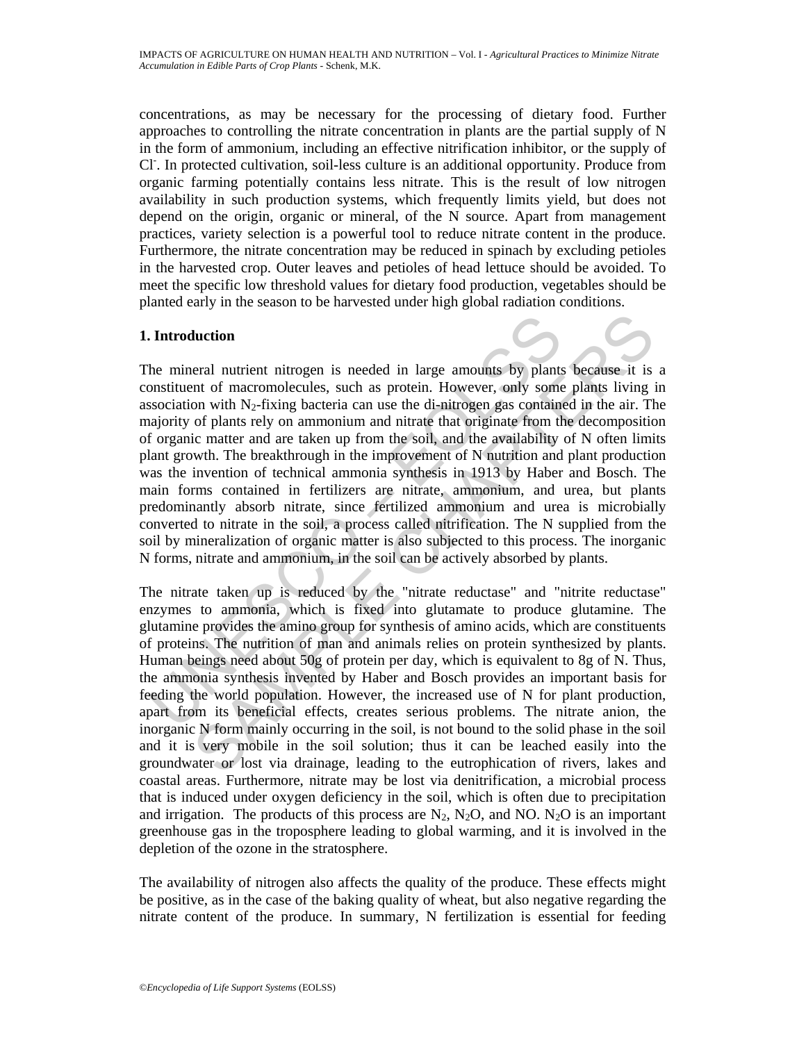concentrations, as may be necessary for the processing of dietary food. Further approaches to controlling the nitrate concentration in plants are the partial supply of N in the form of ammonium, including an effective nitrification inhibitor, or the supply of Cl. In protected cultivation, soil-less culture is an additional opportunity. Produce from organic farming potentially contains less nitrate. This is the result of low nitrogen availability in such production systems, which frequently limits yield, but does not depend on the origin, organic or mineral, of the N source. Apart from management practices, variety selection is a powerful tool to reduce nitrate content in the produce. Furthermore, the nitrate concentration may be reduced in spinach by excluding petioles in the harvested crop. Outer leaves and petioles of head lettuce should be avoided. To meet the specific low threshold values for dietary food production, vegetables should be planted early in the season to be harvested under high global radiation conditions.

## **1. Introduction**

**Introduction**<br>
the mineral nutrient nitrogen is needed in large amounts by plants<br>
onstituent of macromolecules, such as protein. However, only some<br>
sosciation with N<sub>2</sub>-fixing bacteria can use the di-nitrogen gas conta **luction**<br>
and mutrient nitrogen is needed in large amounts by plants because it is<br>
and of macromolecules, such as protein. However, only some plants living<br>
on with N<sub>2</sub>-fixing bacteria can use the di-nitrogen gas contai The mineral nutrient nitrogen is needed in large amounts by plants because it is a constituent of macromolecules, such as protein. However, only some plants living in association with  $N_2$ -fixing bacteria can use the di-nitrogen gas contained in the air. The majority of plants rely on ammonium and nitrate that originate from the decomposition of organic matter and are taken up from the soil, and the availability of N often limits plant growth. The breakthrough in the improvement of N nutrition and plant production was the invention of technical ammonia synthesis in 1913 by Haber and Bosch. The main forms contained in fertilizers are nitrate, ammonium, and urea, but plants predominantly absorb nitrate, since fertilized ammonium and urea is microbially converted to nitrate in the soil, a process called nitrification. The N supplied from the soil by mineralization of organic matter is also subjected to this process. The inorganic N forms, nitrate and ammonium, in the soil can be actively absorbed by plants.

The nitrate taken up is reduced by the "nitrate reductase" and "nitrite reductase" enzymes to ammonia, which is fixed into glutamate to produce glutamine. The glutamine provides the amino group for synthesis of amino acids, which are constituents of proteins. The nutrition of man and animals relies on protein synthesized by plants. Human beings need about 50g of protein per day, which is equivalent to 8g of N. Thus, the ammonia synthesis invented by Haber and Bosch provides an important basis for feeding the world population. However, the increased use of N for plant production, apart from its beneficial effects, creates serious problems. The nitrate anion, the inorganic N form mainly occurring in the soil, is not bound to the solid phase in the soil and it is very mobile in the soil solution; thus it can be leached easily into the groundwater or lost via drainage, leading to the eutrophication of rivers, lakes and coastal areas. Furthermore, nitrate may be lost via denitrification, a microbial process that is induced under oxygen deficiency in the soil, which is often due to precipitation and irrigation. The products of this process are  $N_2$ ,  $N_2O$ , and NO.  $N_2O$  is an important greenhouse gas in the troposphere leading to global warming, and it is involved in the depletion of the ozone in the stratosphere.

The availability of nitrogen also affects the quality of the produce. These effects might be positive, as in the case of the baking quality of wheat, but also negative regarding the nitrate content of the produce. In summary, N fertilization is essential for feeding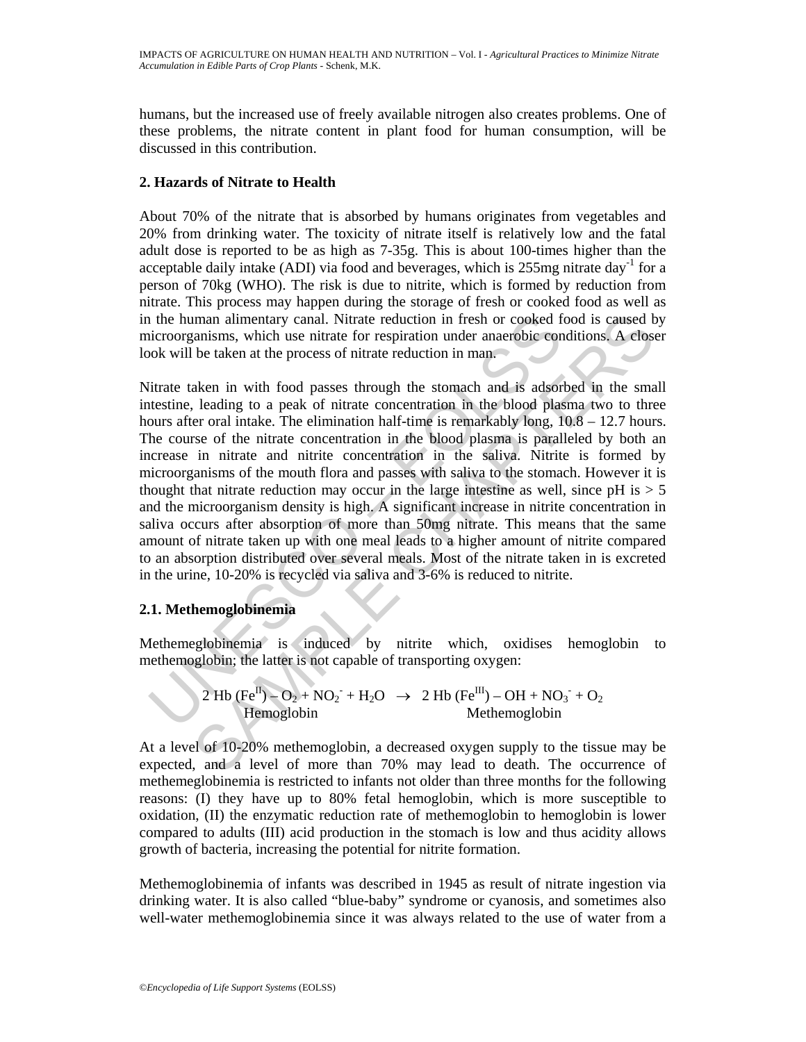humans, but the increased use of freely available nitrogen also creates problems. One of these problems, the nitrate content in plant food for human consumption, will be discussed in this contribution.

## **2. Hazards of Nitrate to Health**

About 70% of the nitrate that is absorbed by humans originates from vegetables and 20% from drinking water. The toxicity of nitrate itself is relatively low and the fatal adult dose is reported to be as high as 7-35g. This is about 100-times higher than the acceptable daily intake (ADI) via food and beverages, which is  $255$ mg nitrate day<sup>-1</sup> for a person of 70kg (WHO). The risk is due to nitrite, which is formed by reduction from nitrate. This process may happen during the storage of fresh or cooked food as well as in the human alimentary canal. Nitrate reduction in fresh or cooked food is caused by microorganisms, which use nitrate for respiration under anaerobic conditions. A closer look will be taken at the process of nitrate reduction in man.

in the human alimentary canal. Nitrate reduction in fresh or cooked fictroorganisms, which use nitrate for respiration under anaerobic con-<br>ook will be taken at the process of nitrate reduction in man.<br>
litrate taken in w man alimentary canal. Nitrate reduction in fresh or cooked food is caused b<br>
ansisms, which use nitted for respiration under anacrobic conditions. A close<br>
be taken at the process of interter deuterion in man,<br>
acken in w Nitrate taken in with food passes through the stomach and is adsorbed in the small intestine, leading to a peak of nitrate concentration in the blood plasma two to three hours after oral intake. The elimination half-time is remarkably long,  $10.8 - 12.7$  hours. The course of the nitrate concentration in the blood plasma is paralleled by both an increase in nitrate and nitrite concentration in the saliva. Nitrite is formed by microorganisms of the mouth flora and passes with saliva to the stomach. However it is thought that nitrate reduction may occur in the large intestine as well, since  $pH$  is  $> 5$ and the microorganism density is high. A significant increase in nitrite concentration in saliva occurs after absorption of more than 50mg nitrate. This means that the same amount of nitrate taken up with one meal leads to a higher amount of nitrite compared to an absorption distributed over several meals. Most of the nitrate taken in is excreted in the urine, 10-20% is recycled via saliva and 3-6% is reduced to nitrite.

## **2.1. Methemoglobinemia**

Methemeglobinemia is induced by nitrite which, oxidises hemoglobin to methemoglobin; the latter is not capable of transporting oxygen:

$$
2 \text{ Hb (Fe}^{\text{II}}) - \text{O}_2 + \text{NO}_2 + \text{H}_2\text{O} \rightarrow 2 \text{ Hb (Fe}^{\text{III}}) - \text{OH} + \text{NO}_3 + \text{O}_2
$$
  
Hermoglobin Method

At a level of 10-20% methemoglobin, a decreased oxygen supply to the tissue may be expected, and a level of more than 70% may lead to death. The occurrence of methemeglobinemia is restricted to infants not older than three months for the following reasons: (I) they have up to 80% fetal hemoglobin, which is more susceptible to oxidation, (II) the enzymatic reduction rate of methemoglobin to hemoglobin is lower compared to adults (III) acid production in the stomach is low and thus acidity allows growth of bacteria, increasing the potential for nitrite formation.

Methemoglobinemia of infants was described in 1945 as result of nitrate ingestion via drinking water. It is also called "blue-baby" syndrome or cyanosis, and sometimes also well-water methemoglobinemia since it was always related to the use of water from a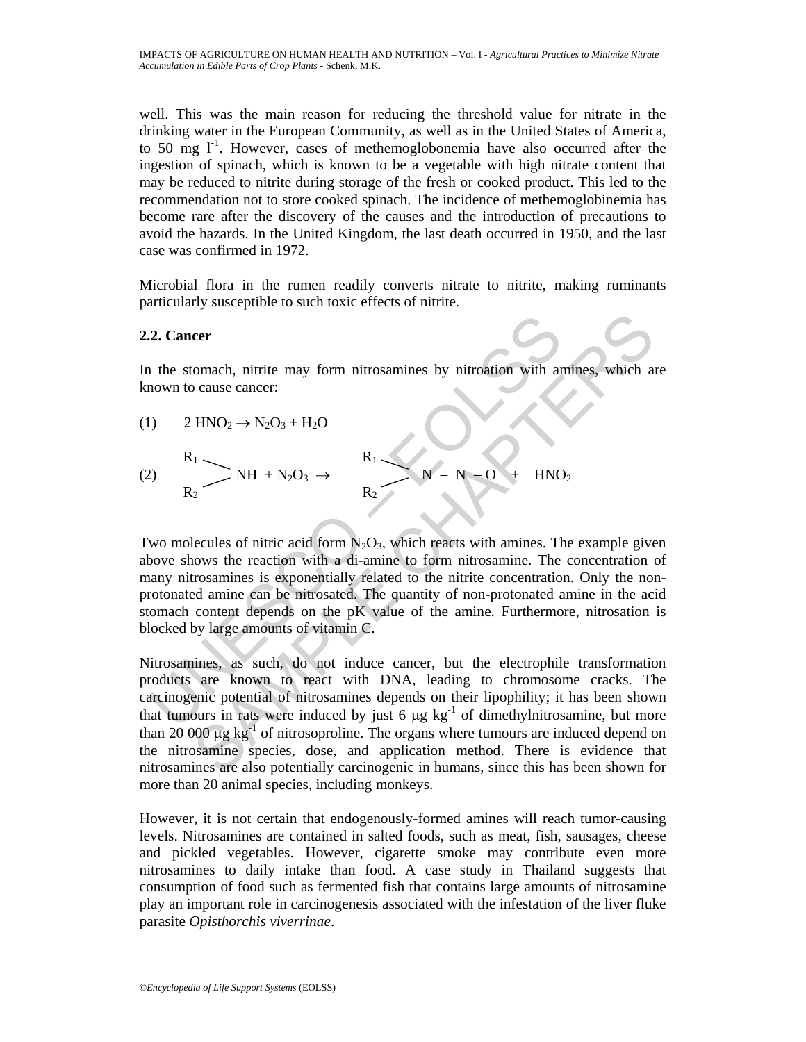well. This was the main reason for reducing the threshold value for nitrate in the drinking water in the European Community, as well as in the United States of America, to 50 mg  $1<sup>-1</sup>$ . However, cases of methemoglobonemia have also occurred after the ingestion of spinach, which is known to be a vegetable with high nitrate content that may be reduced to nitrite during storage of the fresh or cooked product. This led to the recommendation not to store cooked spinach. The incidence of methemoglobinemia has become rare after the discovery of the causes and the introduction of precautions to avoid the hazards. In the United Kingdom, the last death occurred in 1950, and the last case was confirmed in 1972.

Microbial flora in the rumen readily converts nitrate to nitrite, making ruminants particularly susceptible to such toxic effects of nitrite.

## **2.2. Cancer**

In the stomach, nitrite may form nitrosamines by nitroation with amines, which are known to cause cancer:

(1)  $2 \text{ HNO}_2 \rightarrow \text{N}_2\text{O}_3 + \text{H}_2\text{O}$  $R_1 \sim R_1$ (2)  $\sum \text{NH } + \text{N}_2\text{O}_3 \rightarrow \sum \text{N} - \text{N} - \text{O} + \text{HNO}_2$  $R_2$   $R_2$ 

2. **Cancer**<br>
1 the stomach, nitrite may form nitrosamines by nitroation with an<br>
nown to cause cancer:<br>
1) 2 HNO<sub>2</sub> → N<sub>2</sub>O<sub>3</sub> + H<sub>2</sub>O<br>
2) R<sub>1</sub> → NH + N<sub>2</sub>O<sub>3</sub> → R<sub>2</sub> → N - N - O + HNC<br>
wo molecules of nitric acid form N<sub></sub> Two molecules of nitric acid form  $N_2O_3$ , which reacts with amines. The example given above shows the reaction with a di-amine to form nitrosamine. The concentration of many nitrosamines is exponentially related to the nitrite concentration. Only the nonprotonated amine can be nitrosated. The quantity of non-protonated amine in the acid stomach content depends on the pK value of the amine. Furthermore, nitrosation is blocked by large amounts of vitamin C.

commach, nitrite may form nitrosamines by nitroation with antines, which are cause cancer:<br>  $\mathbb{H} \mathbb{H} \mathbb{H} \mathbb{H} \mathbb{H} \mathbb{H} \mathbb{H} \mathbb{H} \mathbb{H} \mathbb{H} \mathbb{H} \mathbb{H} \mathbb{H} \mathbb{H} \mathbb{H} \mathbb{H} \mathbb{H} \mathbb{H} \mathbb{H} \mathbb{H} \mathbb{H} \math$ Nitrosamines, as such, do not induce cancer, but the electrophile transformation products are known to react with DNA, leading to chromosome cracks. The carcinogenic potential of nitrosamines depends on their lipophility; it has been shown that tumours in rats were induced by just 6  $\mu$ g kg<sup>-1</sup> of dimethylnitrosamine, but more than 20 000  $\mu$ g kg<sup>-1</sup> of nitrosoproline. The organs where tumours are induced depend on the nitrosamine species, dose, and application method. There is evidence that nitrosamines are also potentially carcinogenic in humans, since this has been shown for more than 20 animal species, including monkeys.

However, it is not certain that endogenously-formed amines will reach tumor-causing levels. Nitrosamines are contained in salted foods, such as meat, fish, sausages, cheese and pickled vegetables. However, cigarette smoke may contribute even more nitrosamines to daily intake than food. A case study in Thailand suggests that consumption of food such as fermented fish that contains large amounts of nitrosamine play an important role in carcinogenesis associated with the infestation of the liver fluke parasite *Opisthorchis viverrinae*.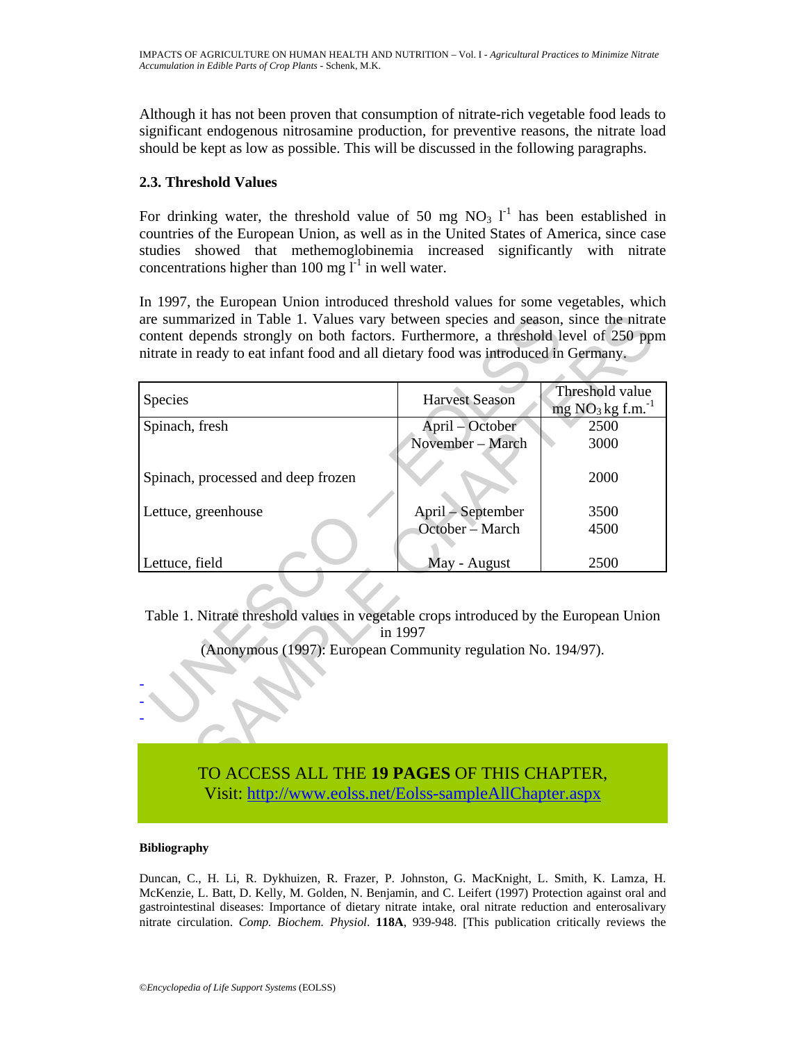Although it has not been proven that consumption of nitrate-rich vegetable food leads to significant endogenous nitrosamine production, for preventive reasons, the nitrate load should be kept as low as possible. This will be discussed in the following paragraphs.

## **2.3. Threshold Values**

For drinking water, the threshold value of 50 mg  $NO<sub>3</sub> l<sup>-1</sup>$  has been established in countries of the European Union, as well as in the United States of America, since case studies showed that methemoglobinemia increased significantly with nitrate concentrations higher than 100 mg  $l^{-1}$  in well water.

In 1997, the European Union introduced threshold values for some vegetables, which are summarized in Table 1. Values vary between species and season, since the nitrate content depends strongly on both factors. Furthermore, a threshold level of 250 ppm nitrate in ready to eat infant food and all dietary food was introduced in Germany.

| are summarized in Table 1. Values vary between species and season, since the nitrate<br>content depends strongly on both factors. Furthermore, a threshold level of 250 ppm<br>nitrate in ready to eat infant food and all dietary food was introduced in Germany. |                       |                                       |
|--------------------------------------------------------------------------------------------------------------------------------------------------------------------------------------------------------------------------------------------------------------------|-----------------------|---------------------------------------|
|                                                                                                                                                                                                                                                                    |                       |                                       |
| Species                                                                                                                                                                                                                                                            | <b>Harvest Season</b> | Threshold value<br>$mg NO3 kg f.m.-1$ |
| Spinach, fresh                                                                                                                                                                                                                                                     | April – October       | 2500                                  |
|                                                                                                                                                                                                                                                                    | November - March      | 3000                                  |
| Spinach, processed and deep frozen                                                                                                                                                                                                                                 |                       | 2000                                  |
| Lettuce, greenhouse                                                                                                                                                                                                                                                | April – September     | 3500                                  |
|                                                                                                                                                                                                                                                                    | October - March       | 4500                                  |
|                                                                                                                                                                                                                                                                    |                       |                                       |
| Lettuce, field                                                                                                                                                                                                                                                     | May - August          | 2500                                  |
| Table 1. Nitrate threshold values in vegetable crops introduced by the European Union<br>in 1997<br>(Anonymous (1997): European Community regulation No. 194/97).                                                                                                  |                       |                                       |
| TO ACCESS ALL THE 10 PACES OF THIS CHAPTER                                                                                                                                                                                                                         |                       |                                       |

TO ACCESS ALL THE **19 PAGES** OF THIS CHAPTER,

Visit[: http://www.eolss.net/Eolss-sampleAllChapter.aspx](https://www.eolss.net/ebooklib/sc_cart.aspx?File=E5-21-03-04)

### **Bibliography**

Duncan, C., H. Li, R. Dykhuizen, R. Frazer, P. Johnston, G. MacKnight, L. Smith, K. Lamza, H. McKenzie, L. Batt, D. Kelly, M. Golden, N. Benjamin, and C. Leifert (1997) Protection against oral and gastrointestinal diseases: Importance of dietary nitrate intake, oral nitrate reduction and enterosalivary nitrate circulation. *Comp. Biochem. Physiol*. **118A**, 939-948. [This publication critically reviews the